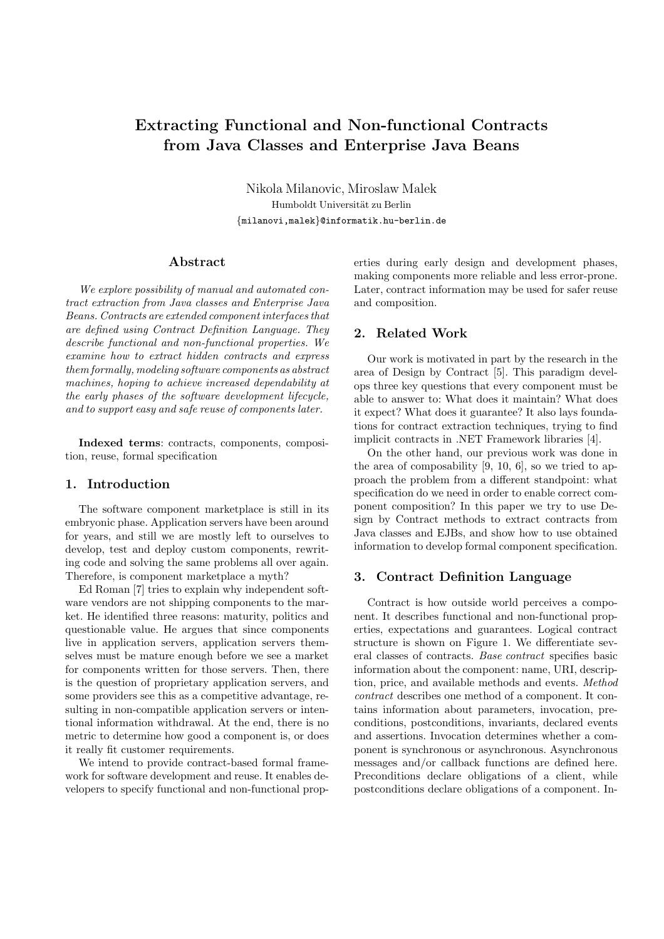# Extracting Functional and Non-functional Contracts from Java Classes and Enterprise Java Beans

Nikola Milanovic, Miroslaw Malek Humboldt Universität zu Berlin {milanovi,malek}@informatik.hu-berlin.de

## Abstract

We explore possibility of manual and automated contract extraction from Java classes and Enterprise Java Beans. Contracts are extended component interfaces that are defined using Contract Definition Language. They describe functional and non-functional properties. We examine how to extract hidden contracts and express them formally, modeling software components as abstract machines, hoping to achieve increased dependability at the early phases of the software development lifecycle, and to support easy and safe reuse of components later.

Indexed terms: contracts, components, composition, reuse, formal specification

## 1. Introduction

The software component marketplace is still in its embryonic phase. Application servers have been around for years, and still we are mostly left to ourselves to develop, test and deploy custom components, rewriting code and solving the same problems all over again. Therefore, is component marketplace a myth?

Ed Roman [7] tries to explain why independent software vendors are not shipping components to the market. He identified three reasons: maturity, politics and questionable value. He argues that since components live in application servers, application servers themselves must be mature enough before we see a market for components written for those servers. Then, there is the question of proprietary application servers, and some providers see this as a competitive advantage, resulting in non-compatible application servers or intentional information withdrawal. At the end, there is no metric to determine how good a component is, or does it really fit customer requirements.

We intend to provide contract-based formal framework for software development and reuse. It enables developers to specify functional and non-functional properties during early design and development phases, making components more reliable and less error-prone. Later, contract information may be used for safer reuse and composition.

## 2. Related Work

Our work is motivated in part by the research in the area of Design by Contract [5]. This paradigm develops three key questions that every component must be able to answer to: What does it maintain? What does it expect? What does it guarantee? It also lays foundations for contract extraction techniques, trying to find implicit contracts in .NET Framework libraries [4].

On the other hand, our previous work was done in the area of composability [9, 10, 6], so we tried to approach the problem from a different standpoint: what specification do we need in order to enable correct component composition? In this paper we try to use Design by Contract methods to extract contracts from Java classes and EJBs, and show how to use obtained information to develop formal component specification.

#### 3. Contract Definition Language

Contract is how outside world perceives a component. It describes functional and non-functional properties, expectations and guarantees. Logical contract structure is shown on Figure 1. We differentiate several classes of contracts. Base contract specifies basic information about the component: name, URI, description, price, and available methods and events. Method contract describes one method of a component. It contains information about parameters, invocation, preconditions, postconditions, invariants, declared events and assertions. Invocation determines whether a component is synchronous or asynchronous. Asynchronous messages and/or callback functions are defined here. Preconditions declare obligations of a client, while postconditions declare obligations of a component. In-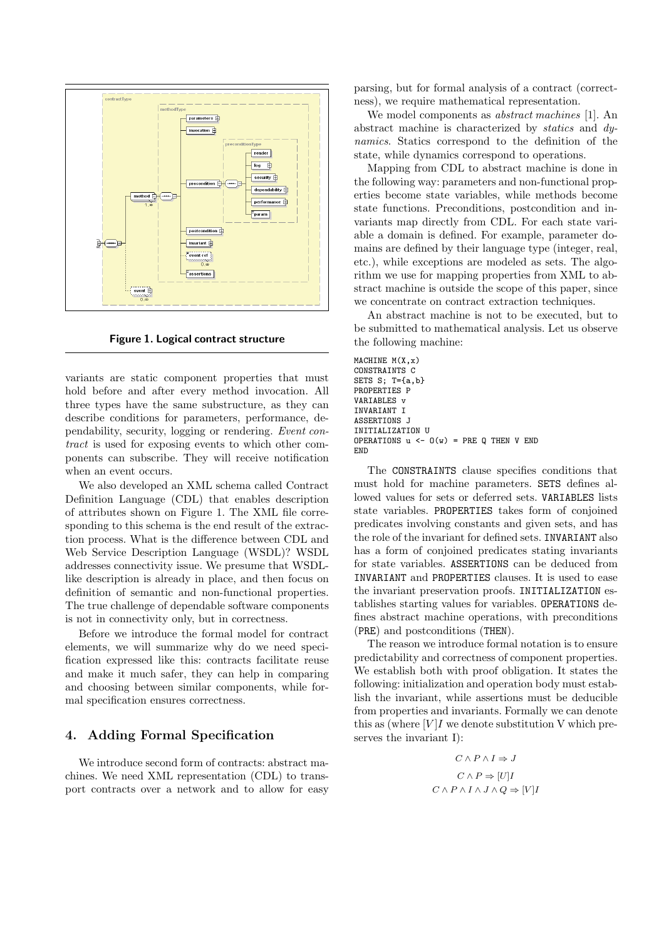

Figure 1. Logical contract structure

variants are static component properties that must hold before and after every method invocation. All three types have the same substructure, as they can describe conditions for parameters, performance, dependability, security, logging or rendering. Event contract is used for exposing events to which other components can subscribe. They will receive notification when an event occurs.

We also developed an XML schema called Contract Definition Language (CDL) that enables description of attributes shown on Figure 1. The XML file corresponding to this schema is the end result of the extraction process. What is the difference between CDL and Web Service Description Language (WSDL)? WSDL addresses connectivity issue. We presume that WSDLlike description is already in place, and then focus on definition of semantic and non-functional properties. The true challenge of dependable software components is not in connectivity only, but in correctness.

Before we introduce the formal model for contract elements, we will summarize why do we need specification expressed like this: contracts facilitate reuse and make it much safer, they can help in comparing and choosing between similar components, while formal specification ensures correctness.

## 4. Adding Formal Specification

We introduce second form of contracts: abstract machines. We need XML representation (CDL) to transport contracts over a network and to allow for easy parsing, but for formal analysis of a contract (correctness), we require mathematical representation.

We model components as abstract machines [1]. An abstract machine is characterized by statics and dynamics. Statics correspond to the definition of the state, while dynamics correspond to operations.

Mapping from CDL to abstract machine is done in the following way: parameters and non-functional properties become state variables, while methods become state functions. Preconditions, postcondition and invariants map directly from CDL. For each state variable a domain is defined. For example, parameter domains are defined by their language type (integer, real, etc.), while exceptions are modeled as sets. The algorithm we use for mapping properties from XML to abstract machine is outside the scope of this paper, since we concentrate on contract extraction techniques.

An abstract machine is not to be executed, but to be submitted to mathematical analysis. Let us observe the following machine:

MACHINE M(X,x) CONSTRAINTS C SETS S; T={a,b} PROPERTIES P VARIABLES v INVARIANT I ASSERTIONS J INITIALIZATION U OPERATIONS  $u \leftarrow 0(w) = PRE Q$  THEN V END END

The CONSTRAINTS clause specifies conditions that must hold for machine parameters. SETS defines allowed values for sets or deferred sets. VARIABLES lists state variables. PROPERTIES takes form of conjoined predicates involving constants and given sets, and has the role of the invariant for defined sets. INVARIANT also has a form of conjoined predicates stating invariants for state variables. ASSERTIONS can be deduced from INVARIANT and PROPERTIES clauses. It is used to ease the invariant preservation proofs. INITIALIZATION establishes starting values for variables. OPERATIONS defines abstract machine operations, with preconditions (PRE) and postconditions (THEN).

The reason we introduce formal notation is to ensure predictability and correctness of component properties. We establish both with proof obligation. It states the following: initialization and operation body must establish the invariant, while assertions must be deducible from properties and invariants. Formally we can denote this as (where  $[V]I$  we denote substitution V which preserves the invariant I):

$$
C \land P \land I \Rightarrow J
$$

$$
C \land P \Rightarrow [U]I
$$

$$
C \land P \land I \land J \land Q \Rightarrow [V]I
$$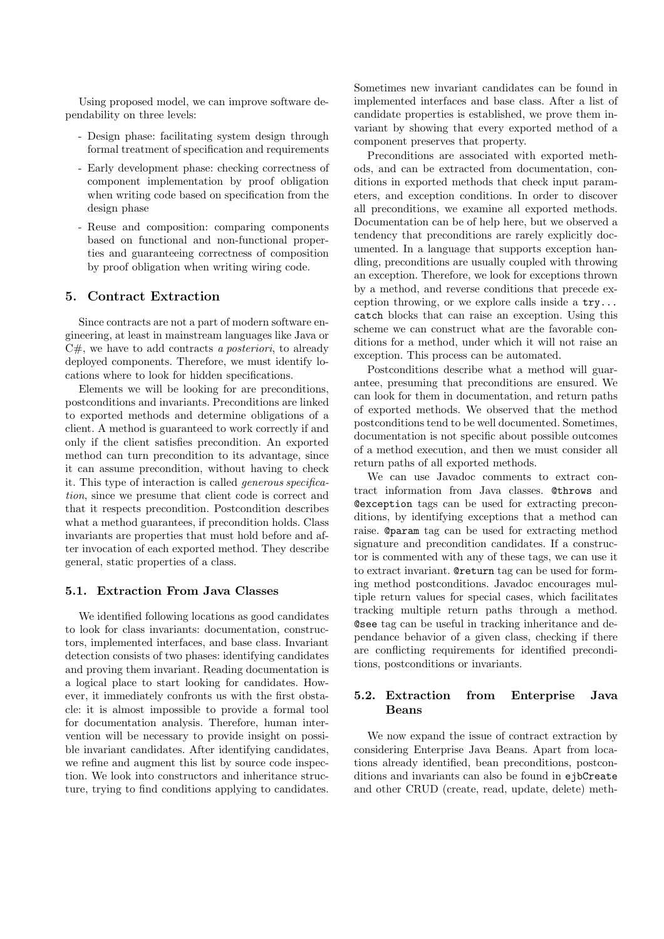Using proposed model, we can improve software dependability on three levels:

- Design phase: facilitating system design through formal treatment of specification and requirements
- Early development phase: checking correctness of component implementation by proof obligation when writing code based on specification from the design phase
- Reuse and composition: comparing components based on functional and non-functional properties and guaranteeing correctness of composition by proof obligation when writing wiring code.

# 5. Contract Extraction

Since contracts are not a part of modern software engineering, at least in mainstream languages like Java or  $C#$ , we have to add contracts a posteriori, to already deployed components. Therefore, we must identify locations where to look for hidden specifications.

Elements we will be looking for are preconditions, postconditions and invariants. Preconditions are linked to exported methods and determine obligations of a client. A method is guaranteed to work correctly if and only if the client satisfies precondition. An exported method can turn precondition to its advantage, since it can assume precondition, without having to check it. This type of interaction is called generous specification, since we presume that client code is correct and that it respects precondition. Postcondition describes what a method guarantees, if precondition holds. Class invariants are properties that must hold before and after invocation of each exported method. They describe general, static properties of a class.

## 5.1. Extraction From Java Classes

We identified following locations as good candidates to look for class invariants: documentation, constructors, implemented interfaces, and base class. Invariant detection consists of two phases: identifying candidates and proving them invariant. Reading documentation is a logical place to start looking for candidates. However, it immediately confronts us with the first obstacle: it is almost impossible to provide a formal tool for documentation analysis. Therefore, human intervention will be necessary to provide insight on possible invariant candidates. After identifying candidates, we refine and augment this list by source code inspection. We look into constructors and inheritance structure, trying to find conditions applying to candidates.

Sometimes new invariant candidates can be found in implemented interfaces and base class. After a list of candidate properties is established, we prove them invariant by showing that every exported method of a component preserves that property.

Preconditions are associated with exported methods, and can be extracted from documentation, conditions in exported methods that check input parameters, and exception conditions. In order to discover all preconditions, we examine all exported methods. Documentation can be of help here, but we observed a tendency that preconditions are rarely explicitly documented. In a language that supports exception handling, preconditions are usually coupled with throwing an exception. Therefore, we look for exceptions thrown by a method, and reverse conditions that precede exception throwing, or we explore calls inside a  $\text{try}...$ catch blocks that can raise an exception. Using this scheme we can construct what are the favorable conditions for a method, under which it will not raise an exception. This process can be automated.

Postconditions describe what a method will guarantee, presuming that preconditions are ensured. We can look for them in documentation, and return paths of exported methods. We observed that the method postconditions tend to be well documented. Sometimes, documentation is not specific about possible outcomes of a method execution, and then we must consider all return paths of all exported methods.

We can use Javadoc comments to extract contract information from Java classes. @throws and @exception tags can be used for extracting preconditions, by identifying exceptions that a method can raise. @param tag can be used for extracting method signature and precondition candidates. If a constructor is commented with any of these tags, we can use it to extract invariant. @return tag can be used for forming method postconditions. Javadoc encourages multiple return values for special cases, which facilitates tracking multiple return paths through a method. @see tag can be useful in tracking inheritance and dependance behavior of a given class, checking if there are conflicting requirements for identified preconditions, postconditions or invariants.

# 5.2. Extraction from Enterprise Java Beans

We now expand the issue of contract extraction by considering Enterprise Java Beans. Apart from locations already identified, bean preconditions, postconditions and invariants can also be found in ejbCreate and other CRUD (create, read, update, delete) meth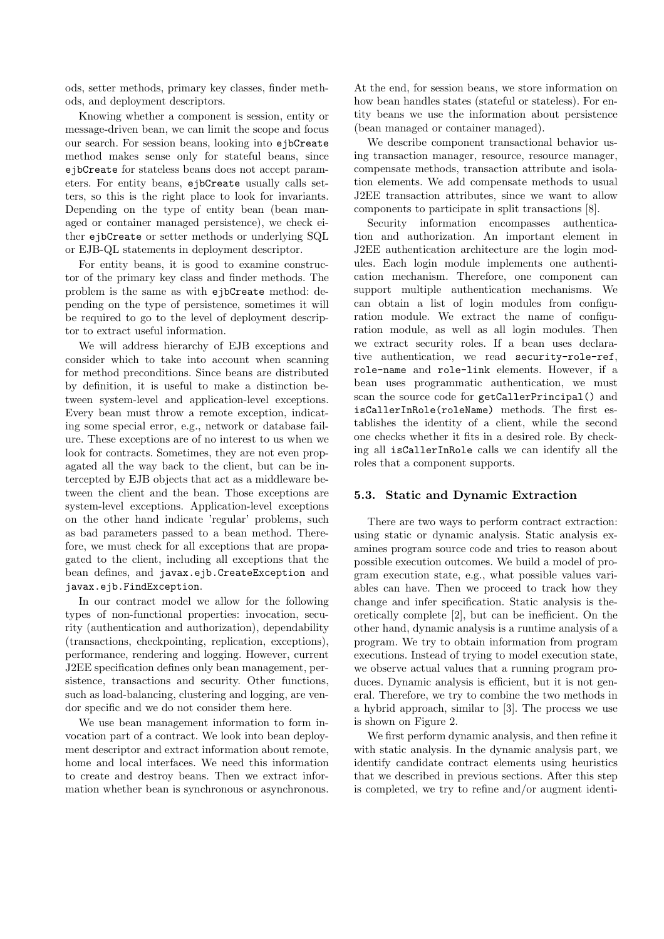ods, setter methods, primary key classes, finder methods, and deployment descriptors.

Knowing whether a component is session, entity or message-driven bean, we can limit the scope and focus our search. For session beans, looking into ejbCreate method makes sense only for stateful beans, since ejbCreate for stateless beans does not accept parameters. For entity beans, ejbCreate usually calls setters, so this is the right place to look for invariants. Depending on the type of entity bean (bean managed or container managed persistence), we check either ejbCreate or setter methods or underlying SQL or EJB-QL statements in deployment descriptor.

For entity beans, it is good to examine constructor of the primary key class and finder methods. The problem is the same as with ejbCreate method: depending on the type of persistence, sometimes it will be required to go to the level of deployment descriptor to extract useful information.

We will address hierarchy of EJB exceptions and consider which to take into account when scanning for method preconditions. Since beans are distributed by definition, it is useful to make a distinction between system-level and application-level exceptions. Every bean must throw a remote exception, indicating some special error, e.g., network or database failure. These exceptions are of no interest to us when we look for contracts. Sometimes, they are not even propagated all the way back to the client, but can be intercepted by EJB objects that act as a middleware between the client and the bean. Those exceptions are system-level exceptions. Application-level exceptions on the other hand indicate 'regular' problems, such as bad parameters passed to a bean method. Therefore, we must check for all exceptions that are propagated to the client, including all exceptions that the bean defines, and javax.ejb.CreateException and javax.ejb.FindException.

In our contract model we allow for the following types of non-functional properties: invocation, security (authentication and authorization), dependability (transactions, checkpointing, replication, exceptions), performance, rendering and logging. However, current J2EE specification defines only bean management, persistence, transactions and security. Other functions, such as load-balancing, clustering and logging, are vendor specific and we do not consider them here.

We use bean management information to form invocation part of a contract. We look into bean deployment descriptor and extract information about remote, home and local interfaces. We need this information to create and destroy beans. Then we extract information whether bean is synchronous or asynchronous. At the end, for session beans, we store information on how bean handles states (stateful or stateless). For entity beans we use the information about persistence (bean managed or container managed).

We describe component transactional behavior using transaction manager, resource, resource manager, compensate methods, transaction attribute and isolation elements. We add compensate methods to usual J2EE transaction attributes, since we want to allow components to participate in split transactions [8].

Security information encompasses authentication and authorization. An important element in J2EE authentication architecture are the login modules. Each login module implements one authentication mechanism. Therefore, one component can support multiple authentication mechanisms. We can obtain a list of login modules from configuration module. We extract the name of configuration module, as well as all login modules. Then we extract security roles. If a bean uses declarative authentication, we read security-role-ref, role-name and role-link elements. However, if a bean uses programmatic authentication, we must scan the source code for getCallerPrincipal() and isCallerInRole(roleName) methods. The first establishes the identity of a client, while the second one checks whether it fits in a desired role. By checking all isCallerInRole calls we can identify all the roles that a component supports.

# 5.3. Static and Dynamic Extraction

There are two ways to perform contract extraction: using static or dynamic analysis. Static analysis examines program source code and tries to reason about possible execution outcomes. We build a model of program execution state, e.g., what possible values variables can have. Then we proceed to track how they change and infer specification. Static analysis is theoretically complete [2], but can be inefficient. On the other hand, dynamic analysis is a runtime analysis of a program. We try to obtain information from program executions. Instead of trying to model execution state, we observe actual values that a running program produces. Dynamic analysis is efficient, but it is not general. Therefore, we try to combine the two methods in a hybrid approach, similar to [3]. The process we use is shown on Figure 2.

We first perform dynamic analysis, and then refine it with static analysis. In the dynamic analysis part, we identify candidate contract elements using heuristics that we described in previous sections. After this step is completed, we try to refine and/or augment identi-